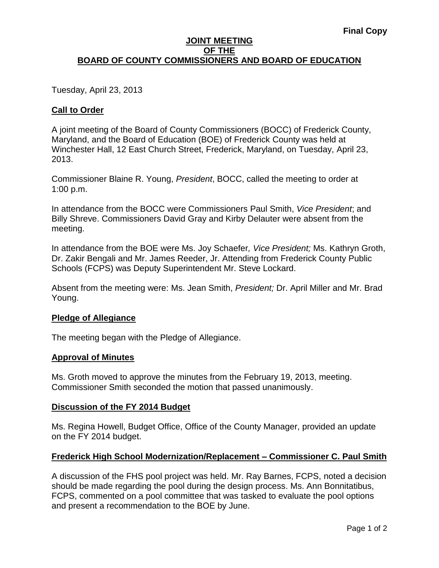#### **JOINT MEETING OF THE BOARD OF COUNTY COMMISSIONERS AND BOARD OF EDUCATION**

Tuesday, April 23, 2013

# **Call to Order**

A joint meeting of the Board of County Commissioners (BOCC) of Frederick County, Maryland, and the Board of Education (BOE) of Frederick County was held at Winchester Hall, 12 East Church Street, Frederick, Maryland, on Tuesday, April 23, 2013.

Commissioner Blaine R. Young, *President*, BOCC, called the meeting to order at 1:00 p.m.

In attendance from the BOCC were Commissioners Paul Smith, *Vice President*; and Billy Shreve. Commissioners David Gray and Kirby Delauter were absent from the meeting.

In attendance from the BOE were Ms. Joy Schaefer*, Vice President;* Ms. Kathryn Groth, Dr. Zakir Bengali and Mr. James Reeder, Jr. Attending from Frederick County Public Schools (FCPS) was Deputy Superintendent Mr. Steve Lockard.

Absent from the meeting were: Ms. Jean Smith, *President;* Dr. April Miller and Mr. Brad Young.

#### **Pledge of Allegiance**

The meeting began with the Pledge of Allegiance.

#### **Approval of Minutes**

Ms. Groth moved to approve the minutes from the February 19, 2013, meeting. Commissioner Smith seconded the motion that passed unanimously.

#### **Discussion of the FY 2014 Budget**

Ms. Regina Howell, Budget Office, Office of the County Manager, provided an update on the FY 2014 budget.

#### **Frederick High School Modernization/Replacement – Commissioner C. Paul Smith**

A discussion of the FHS pool project was held. Mr. Ray Barnes, FCPS, noted a decision should be made regarding the pool during the design process. Ms. Ann Bonnitatibus, FCPS, commented on a pool committee that was tasked to evaluate the pool options and present a recommendation to the BOE by June.